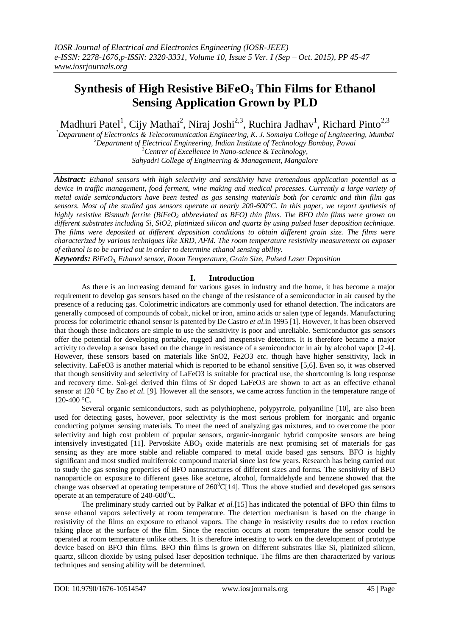# **Synthesis of High Resistive BiFeO<sup>3</sup> Thin Films for Ethanol Sensing Application Grown by PLD**

Madhuri Patel<sup>1</sup>, Cijy Mathai<sup>2</sup>, Niraj Joshi<sup>2,3</sup>, Ruchira Jadhav<sup>1</sup>, Richard Pinto<sup>2,3</sup>

*Department of Electronics & Telecommunication Engineering, K. J. Somaiya College of Engineering, Mumbai Department of Electrical Engineering, Indian Institute of Technology Bombay, Powai Centrer of Excellence in Nano-science & Technology, Sahyadri College of Engineering & Management, Mangalore*

*Abstract: Ethanol sensors with high selectivity and sensitivity have tremendous application potential as a device in traffic management, food ferment, wine making and medical processes. Currently a large variety of metal oxide semiconductors have been tested as gas sensing materials both for ceramic and thin film gas sensors. Most of the studied gas sensors operate at nearly 200-600°C. In this paper, we report synthesis of highly resistive Bismuth ferrite (BiFeO<sup>3</sup> abbreviated as BFO) thin films. The BFO thin films were grown on different substrates including Si, SiO2, platinized silicon and quartz by using pulsed laser deposition technique. The films were deposited at different deposition conditions to obtain different grain size. The films were characterized by various techniques like XRD, AFM. The room temperature resistivity measurement on exposer of ethanol is to be carried out in order to determine ethanol sensing ability.*

*Keywords: BiFeO3, Ethanol sensor, Room Temperature, Grain Size, Pulsed Laser Deposition*

# **I. Introduction**

As there is an increasing demand for various gases in industry and the home, it has become a major requirement to develop gas sensors based on the change of the resistance of a semiconductor in air caused by the presence of a reducing gas. Colorimetric indicators are commonly used for ethanol detection. The indicators are generally composed of compounds of cobalt, nickel or iron, amino acids or salen type of legands. Manufacturing process for colorimetric ethanol sensor is patented by De Castro *et al.*in 1995 [1]. However, it has been observed that though these indicators are simple to use the sensitivity is poor and unreliable. Semiconductor gas sensors offer the potential for developing portable, rugged and inexpensive detectors. It is therefore became a major activity to develop a sensor based on the change in resistance of a semiconductor in air by alcohol vapor [2-4]. However, these sensors based on materials like SnO2, Fe2O3 *etc*. though have higher sensitivity, lack in selectivity. LaFeO3 is another material which is reported to be ethanol sensitive [5,6]. Even so, it was observed that though sensitivity and selectivity of LaFeO3 is suitable for practical use, the shortcoming is long response and recovery time. Sol-gel derived thin films of Sr doped LaFeO3 are shown to act as an effective ethanol sensor at 120 °C by Zao *et al.* [9]. However all the sensors, we came across function in the temperature range of 120-400 °C.

Several organic semiconductors, such as polythiophene, polypyrrole, polyaniline [10], are also been used for detecting gases, however, poor selectivity is the most serious problem for inorganic and organic conducting polymer sensing materials. To meet the need of analyzing gas mixtures, and to overcome the poor selectivity and high cost problem of popular sensors, organic-inorganic hybrid composite sensors are being intensively investigated [11]. Pervoskite  $\triangle ABO_3$  oxide materials are next promising set of materials for gas sensing as they are more stable and reliable compared to metal oxide based gas sensors. BFO is highly significant and most studied multiferroic compound material since last few years. Research has being carried out to study the gas sensing properties of BFO nanostructures of different sizes and forms. The sensitivity of BFO nanoparticle on exposure to different gases like acetone, alcohol, formaldehyde and benzene showed that the change was observed at operating temperature of  $260^{\circ}$ C[14]. Thus the above studied and developed gas sensors operate at an temperature of  $240-600^{\circ}$ C.

The preliminary study carried out by Palkar *et al.*[15] has indicated the potential of BFO thin films to sense ethanol vapors selectively at room temperature. The detection mechanism is based on the change in resistivity of the films on exposure to ethanol vapors. The change in resistivity results due to redox reaction taking place at the surface of the film. Since the reaction occurs at room temperature the sensor could be operated at room temperature unlike others. It is therefore interesting to work on the development of prototype device based on BFO thin films. BFO thin films is grown on different substrates like Si, platinized silicon, quartz, silicon dioxide by using pulsed laser deposition technique. The films are then characterized by various techniques and sensing ability will be determined.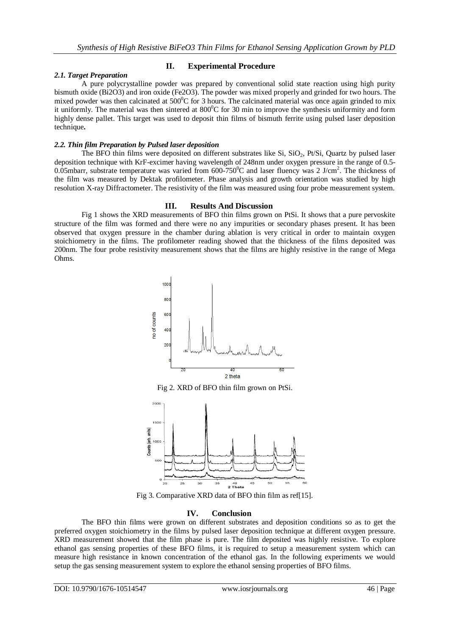# *2.1. Target Preparation*

# **II. Experimental Procedure**

A pure polycrystalline powder was prepared by conventional solid state reaction using high purity bismuth oxide (Bi2O3) and iron oxide (Fe2O3). The powder was mixed properly and grinded for two hours. The mixed powder was then calcinated at  $500^{\circ}$ C for 3 hours. The calcinated material was once again grinded to mix it uniformly. The material was then sintered at  $800^{\circ}$ C for 30 min to improve the synthesis uniformity and form highly dense pallet. This target was used to deposit thin films of bismuth ferrite using pulsed laser deposition technique**.**

## *2.2. Thin film Preparation by Pulsed laser deposition*

The BFO thin films were deposited on different substrates like  $Si$ ,  $SiO<sub>2</sub>$ ,  $Pt/Si$ , Quartz by pulsed laser deposition technique with KrF-excimer having wavelength of 248nm under oxygen pressure in the range of 0.5- 0.05mbarr, substrate temperature was varied from  $600-750^{\circ}$ C and laser fluency was 2 J/cm<sup>2</sup>. The thickness of the film was measured by Dektak profilometer. Phase analysis and growth orientation was studied by high resolution X-ray Diffractometer. The resistivity of the film was measured using four probe measurement system.

## **III. Results And Discussion**

Fig 1 shows the XRD measurements of BFO thin films grown on PtSi. It shows that a pure pervoskite structure of the film was formed and there were no any impurities or secondary phases present. It has been observed that oxygen pressure in the chamber during ablation is very critical in order to maintain oxygen stoichiometry in the films. The profilometer reading showed that the thickness of the films deposited was 200nm. The four probe resistivity measurement shows that the films are highly resistive in the range of Mega Ohms.



Fig 2. XRD of BFO thin film grown on PtSi.



Fig 3. Comparative XRD data of BFO thin film as ref[15].

# **IV. Conclusion**

The BFO thin films were grown on different substrates and deposition conditions so as to get the preferred oxygen stoichiometry in the films by pulsed laser deposition technique at different oxygen pressure. XRD measurement showed that the film phase is pure. The film deposited was highly resistive. To explore ethanol gas sensing properties of these BFO films, it is required to setup a measurement system which can measure high resistance in known concentration of the ethanol gas. In the following experiments we would setup the gas sensing measurement system to explore the ethanol sensing properties of BFO films.